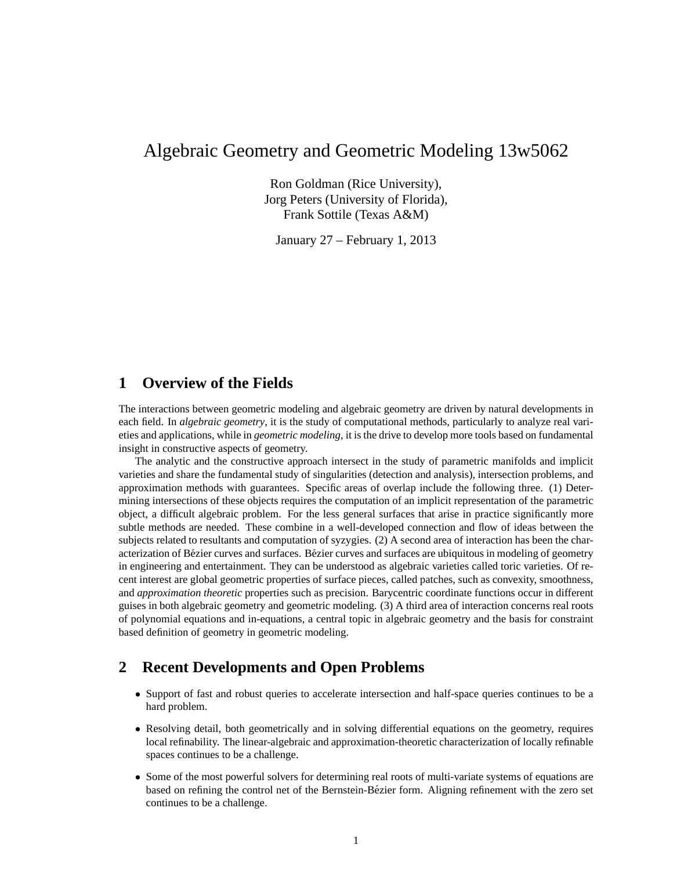# Algebraic Geometry and Geometric Modeling 13w5062

Ron Goldman (Rice University), Jorg Peters (University of Florida), Frank Sottile (Texas A&M)

January 27 – February 1, 2013

# **1 Overview of the Fields**

The interactions between geometric modeling and algebraic geometry are driven by natural developments in each field. In *algebraic geometry*, it is the study of computational methods, particularly to analyze real varieties and applications, while in *geometric modeling*, it is the drive to develop more tools based on fundamental insight in constructive aspects of geometry.

The analytic and the constructive approach intersect in the study of parametric manifolds and implicit varieties and share the fundamental study of singularities (detection and analysis), intersection problems, and approximation methods with guarantees. Specific areas of overlap include the following three. (1) Determining intersections of these objects requires the computation of an implicit representation of the parametric object, a difficult algebraic problem. For the less general surfaces that arise in practice significantly more subtle methods are needed. These combine in a well-developed connection and flow of ideas between the subjects related to resultants and computation of syzygies. (2) A second area of interaction has been the characterization of Bézier curves and surfaces. Bézier curves and surfaces are ubiquitous in modeling of geometry in engineering and entertainment. They can be understood as algebraic varieties called toric varieties. Of recent interest are global geometric properties of surface pieces, called patches, such as convexity, smoothness, and *approximation theoretic* properties such as precision. Barycentric coordinate functions occur in different guises in both algebraic geometry and geometric modeling. (3) A third area of interaction concerns real roots of polynomial equations and in-equations, a central topic in algebraic geometry and the basis for constraint based definition of geometry in geometric modeling.

# **2 Recent Developments and Open Problems**

- Support of fast and robust queries to accelerate intersection and half-space queries continues to be a hard problem.
- Resolving detail, both geometrically and in solving differential equations on the geometry, requires local refinability. The linear-algebraic and approximation-theoretic characterization of locally refinable spaces continues to be a challenge.
- Some of the most powerful solvers for determining real roots of multi-variate systems of equations are based on refining the control net of the Bernstein-Bézier form. Aligning refinement with the zero set continues to be a challenge.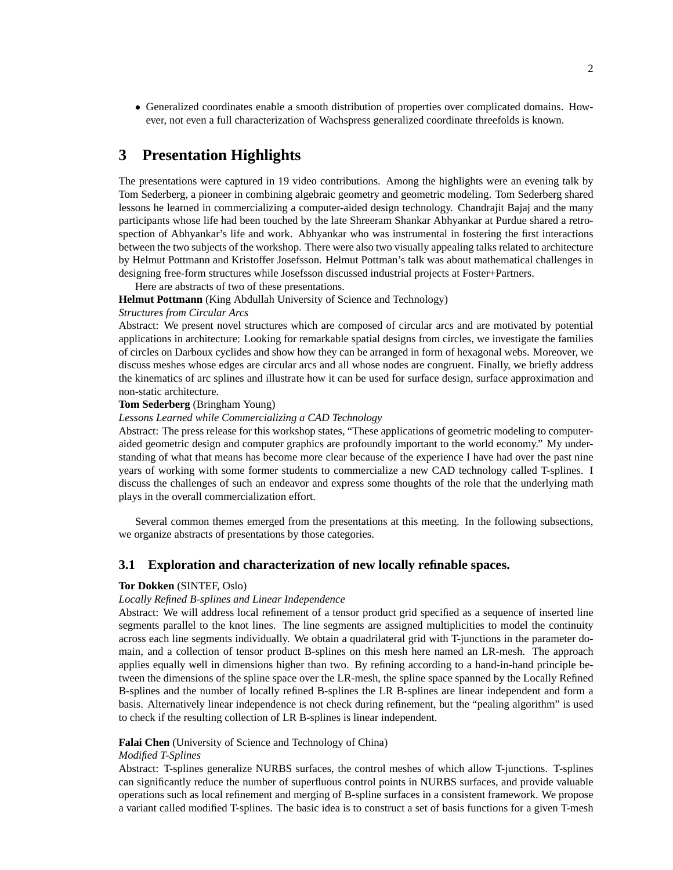• Generalized coordinates enable a smooth distribution of properties over complicated domains. However, not even a full characterization of Wachspress generalized coordinate threefolds is known.

# **3 Presentation Highlights**

The presentations were captured in 19 video contributions. Among the highlights were an evening talk by Tom Sederberg, a pioneer in combining algebraic geometry and geometric modeling. Tom Sederberg shared lessons he learned in commercializing a computer-aided design technology. Chandrajit Bajaj and the many participants whose life had been touched by the late Shreeram Shankar Abhyankar at Purdue shared a retrospection of Abhyankar's life and work. Abhyankar who was instrumental in fostering the first interactions between the two subjects of the workshop. There were also two visually appealing talks related to architecture by Helmut Pottmann and Kristoffer Josefsson. Helmut Pottman's talk was about mathematical challenges in designing free-form structures while Josefsson discussed industrial projects at Foster+Partners.

Here are abstracts of two of these presentations.

**Helmut Pottmann** (King Abdullah University of Science and Technology)

# *Structures from Circular Arcs*

Abstract: We present novel structures which are composed of circular arcs and are motivated by potential applications in architecture: Looking for remarkable spatial designs from circles, we investigate the families of circles on Darboux cyclides and show how they can be arranged in form of hexagonal webs. Moreover, we discuss meshes whose edges are circular arcs and all whose nodes are congruent. Finally, we briefly address the kinematics of arc splines and illustrate how it can be used for surface design, surface approximation and non-static architecture.

# **Tom Sederberg** (Bringham Young)

# *Lessons Learned while Commercializing a CAD Technology*

Abstract: The press release for this workshop states, "These applications of geometric modeling to computeraided geometric design and computer graphics are profoundly important to the world economy." My understanding of what that means has become more clear because of the experience I have had over the past nine years of working with some former students to commercialize a new CAD technology called T-splines. I discuss the challenges of such an endeavor and express some thoughts of the role that the underlying math plays in the overall commercialization effort.

Several common themes emerged from the presentations at this meeting. In the following subsections, we organize abstracts of presentations by those categories.

# **3.1 Exploration and characterization of new locally refinable spaces.**

# **Tor Dokken** (SINTEF, Oslo)

# *Locally Refined B-splines and Linear Independence*

Abstract: We will address local refinement of a tensor product grid specified as a sequence of inserted line segments parallel to the knot lines. The line segments are assigned multiplicities to model the continuity across each line segments individually. We obtain a quadrilateral grid with T-junctions in the parameter domain, and a collection of tensor product B-splines on this mesh here named an LR-mesh. The approach applies equally well in dimensions higher than two. By refining according to a hand-in-hand principle between the dimensions of the spline space over the LR-mesh, the spline space spanned by the Locally Refined B-splines and the number of locally refined B-splines the LR B-splines are linear independent and form a basis. Alternatively linear independence is not check during refinement, but the "pealing algorithm" is used to check if the resulting collection of LR B-splines is linear independent.

# **Falai Chen** (University of Science and Technology of China)

#### *Modified T-Splines*

Abstract: T-splines generalize NURBS surfaces, the control meshes of which allow T-junctions. T-splines can significantly reduce the number of superfluous control points in NURBS surfaces, and provide valuable operations such as local refinement and merging of B-spline surfaces in a consistent framework. We propose a variant called modified T-splines. The basic idea is to construct a set of basis functions for a given T-mesh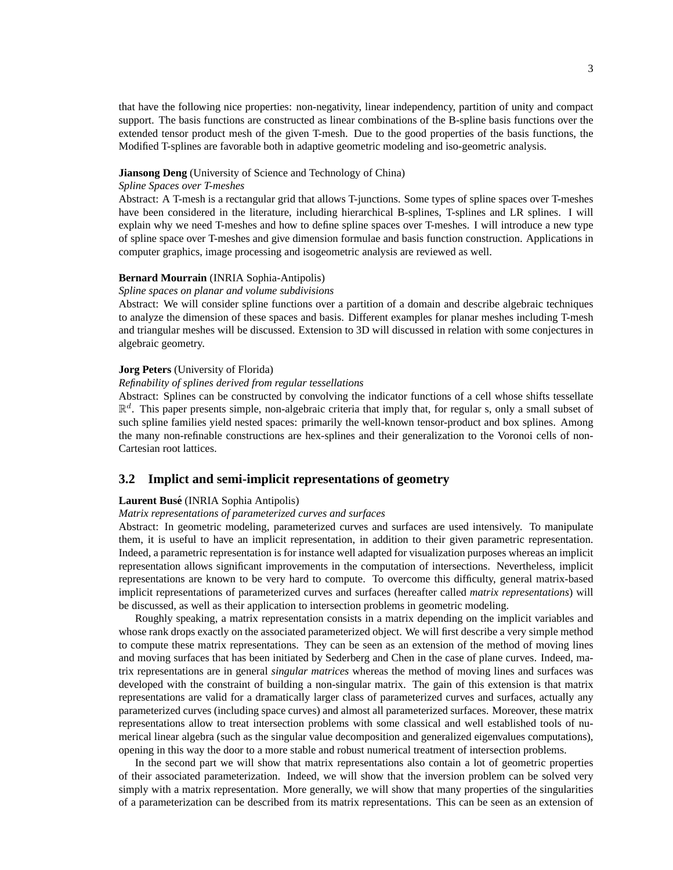that have the following nice properties: non-negativity, linear independency, partition of unity and compact support. The basis functions are constructed as linear combinations of the B-spline basis functions over the extended tensor product mesh of the given T-mesh. Due to the good properties of the basis functions, the Modified T-splines are favorable both in adaptive geometric modeling and iso-geometric analysis.

#### **Jiansong Deng** (University of Science and Technology of China)

### *Spline Spaces over T-meshes*

Abstract: A T-mesh is a rectangular grid that allows T-junctions. Some types of spline spaces over T-meshes have been considered in the literature, including hierarchical B-splines, T-splines and LR splines. I will explain why we need T-meshes and how to define spline spaces over T-meshes. I will introduce a new type of spline space over T-meshes and give dimension formulae and basis function construction. Applications in computer graphics, image processing and isogeometric analysis are reviewed as well.

# **Bernard Mourrain** (INRIA Sophia-Antipolis)

#### *Spline spaces on planar and volume subdivisions*

Abstract: We will consider spline functions over a partition of a domain and describe algebraic techniques to analyze the dimension of these spaces and basis. Different examples for planar meshes including T-mesh and triangular meshes will be discussed. Extension to 3D will discussed in relation with some conjectures in algebraic geometry.

#### **Jorg Peters** (University of Florida)

### *Refinability of splines derived from regular tessellations*

Abstract: Splines can be constructed by convolving the indicator functions of a cell whose shifts tessellate  $\mathbb{R}^d$ . This paper presents simple, non-algebraic criteria that imply that, for regular s, only a small subset of such spline families yield nested spaces: primarily the well-known tensor-product and box splines. Among the many non-refinable constructions are hex-splines and their generalization to the Voronoi cells of non-Cartesian root lattices.

# **3.2 Implict and semi-implicit representations of geometry**

# **Laurent Buse´** (INRIA Sophia Antipolis)

#### *Matrix representations of parameterized curves and surfaces*

Abstract: In geometric modeling, parameterized curves and surfaces are used intensively. To manipulate them, it is useful to have an implicit representation, in addition to their given parametric representation. Indeed, a parametric representation is for instance well adapted for visualization purposes whereas an implicit representation allows significant improvements in the computation of intersections. Nevertheless, implicit representations are known to be very hard to compute. To overcome this difficulty, general matrix-based implicit representations of parameterized curves and surfaces (hereafter called *matrix representations*) will be discussed, as well as their application to intersection problems in geometric modeling.

Roughly speaking, a matrix representation consists in a matrix depending on the implicit variables and whose rank drops exactly on the associated parameterized object. We will first describe a very simple method to compute these matrix representations. They can be seen as an extension of the method of moving lines and moving surfaces that has been initiated by Sederberg and Chen in the case of plane curves. Indeed, matrix representations are in general *singular matrices* whereas the method of moving lines and surfaces was developed with the constraint of building a non-singular matrix. The gain of this extension is that matrix representations are valid for a dramatically larger class of parameterized curves and surfaces, actually any parameterized curves (including space curves) and almost all parameterized surfaces. Moreover, these matrix representations allow to treat intersection problems with some classical and well established tools of numerical linear algebra (such as the singular value decomposition and generalized eigenvalues computations), opening in this way the door to a more stable and robust numerical treatment of intersection problems.

In the second part we will show that matrix representations also contain a lot of geometric properties of their associated parameterization. Indeed, we will show that the inversion problem can be solved very simply with a matrix representation. More generally, we will show that many properties of the singularities of a parameterization can be described from its matrix representations. This can be seen as an extension of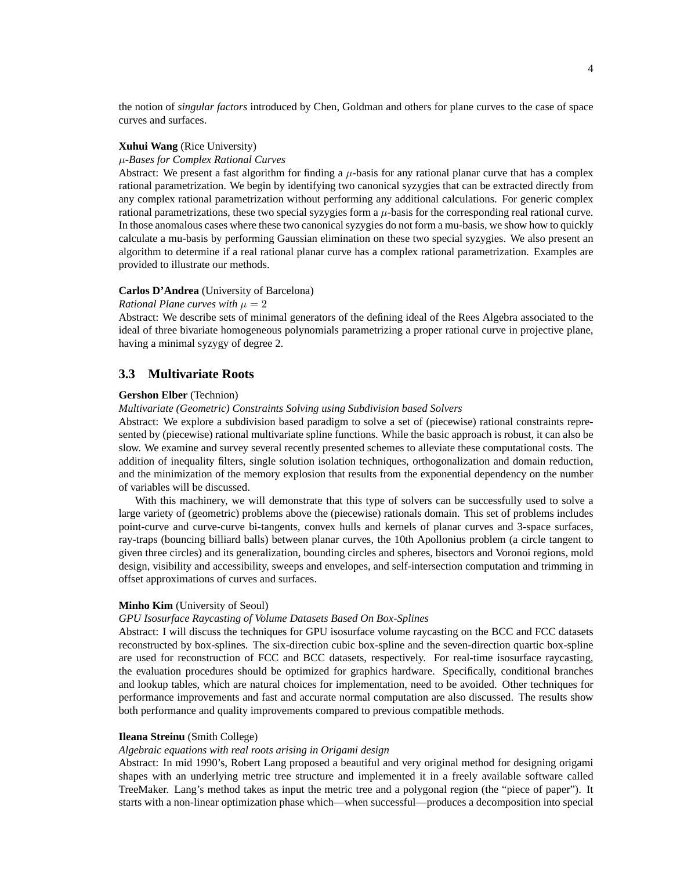the notion of *singular factors* introduced by Chen, Goldman and others for plane curves to the case of space curves and surfaces.

# **Xuhui Wang** (Rice University)

# µ*-Bases for Complex Rational Curves*

Abstract: We present a fast algorithm for finding a  $\mu$ -basis for any rational planar curve that has a complex rational parametrization. We begin by identifying two canonical syzygies that can be extracted directly from any complex rational parametrization without performing any additional calculations. For generic complex rational parametrizations, these two special syzygies form a  $\mu$ -basis for the corresponding real rational curve. In those anomalous cases where these two canonical syzygies do not form a mu-basis, we show how to quickly calculate a mu-basis by performing Gaussian elimination on these two special syzygies. We also present an algorithm to determine if a real rational planar curve has a complex rational parametrization. Examples are provided to illustrate our methods.

# **Carlos D'Andrea** (University of Barcelona)

# *Rational Plane curves with*  $\mu = 2$

Abstract: We describe sets of minimal generators of the defining ideal of the Rees Algebra associated to the ideal of three bivariate homogeneous polynomials parametrizing a proper rational curve in projective plane, having a minimal syzygy of degree 2.

# **3.3 Multivariate Roots**

# **Gershon Elber** (Technion)

#### *Multivariate (Geometric) Constraints Solving using Subdivision based Solvers*

Abstract: We explore a subdivision based paradigm to solve a set of (piecewise) rational constraints represented by (piecewise) rational multivariate spline functions. While the basic approach is robust, it can also be slow. We examine and survey several recently presented schemes to alleviate these computational costs. The addition of inequality filters, single solution isolation techniques, orthogonalization and domain reduction, and the minimization of the memory explosion that results from the exponential dependency on the number of variables will be discussed.

With this machinery, we will demonstrate that this type of solvers can be successfully used to solve a large variety of (geometric) problems above the (piecewise) rationals domain. This set of problems includes point-curve and curve-curve bi-tangents, convex hulls and kernels of planar curves and 3-space surfaces, ray-traps (bouncing billiard balls) between planar curves, the 10th Apollonius problem (a circle tangent to given three circles) and its generalization, bounding circles and spheres, bisectors and Voronoi regions, mold design, visibility and accessibility, sweeps and envelopes, and self-intersection computation and trimming in offset approximations of curves and surfaces.

#### **Minho Kim** (University of Seoul)

#### *GPU Isosurface Raycasting of Volume Datasets Based On Box-Splines*

Abstract: I will discuss the techniques for GPU isosurface volume raycasting on the BCC and FCC datasets reconstructed by box-splines. The six-direction cubic box-spline and the seven-direction quartic box-spline are used for reconstruction of FCC and BCC datasets, respectively. For real-time isosurface raycasting, the evaluation procedures should be optimized for graphics hardware. Specifically, conditional branches and lookup tables, which are natural choices for implementation, need to be avoided. Other techniques for performance improvements and fast and accurate normal computation are also discussed. The results show both performance and quality improvements compared to previous compatible methods.

### **Ileana Streinu** (Smith College)

#### *Algebraic equations with real roots arising in Origami design*

Abstract: In mid 1990's, Robert Lang proposed a beautiful and very original method for designing origami shapes with an underlying metric tree structure and implemented it in a freely available software called TreeMaker. Lang's method takes as input the metric tree and a polygonal region (the "piece of paper"). It starts with a non-linear optimization phase which—when successful—produces a decomposition into special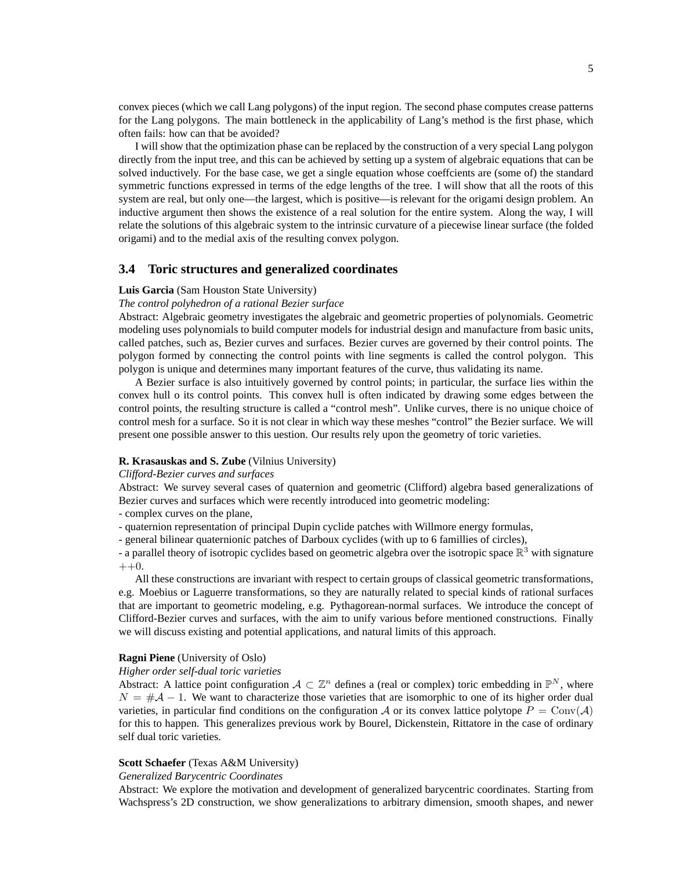convex pieces (which we call Lang polygons) of the input region. The second phase computes crease patterns for the Lang polygons. The main bottleneck in the applicability of Lang's method is the first phase, which often fails: how can that be avoided?

I will show that the optimization phase can be replaced by the construction of a very special Lang polygon directly from the input tree, and this can be achieved by setting up a system of algebraic equations that can be solved inductively. For the base case, we get a single equation whose coeffcients are (some of) the standard symmetric functions expressed in terms of the edge lengths of the tree. I will show that all the roots of this system are real, but only one—the largest, which is positive—is relevant for the origami design problem. An inductive argument then shows the existence of a real solution for the entire system. Along the way, I will relate the solutions of this algebraic system to the intrinsic curvature of a piecewise linear surface (the folded origami) and to the medial axis of the resulting convex polygon.

# **3.4 Toric structures and generalized coordinates**

#### **Luis Garcia** (Sam Houston State University)

#### *The control polyhedron of a rational Bezier surface*

Abstract: Algebraic geometry investigates the algebraic and geometric properties of polynomials. Geometric modeling uses polynomials to build computer models for industrial design and manufacture from basic units, called patches, such as, Bezier curves and surfaces. Bezier curves are governed by their control points. The polygon formed by connecting the control points with line segments is called the control polygon. This polygon is unique and determines many important features of the curve, thus validating its name.

A Bezier surface is also intuitively governed by control points; in particular, the surface lies within the convex hull o its control points. This convex hull is often indicated by drawing some edges between the control points, the resulting structure is called a "control mesh". Unlike curves, there is no unique choice of control mesh for a surface. So it is not clear in which way these meshes "control" the Bezier surface. We will present one possible answer to this uestion. Our results rely upon the geometry of toric varieties.

### **R. Krasauskas and S. Zube** (Vilnius University)

#### *Clifford-Bezier curves and surfaces*

Abstract: We survey several cases of quaternion and geometric (Clifford) algebra based generalizations of Bezier curves and surfaces which were recently introduced into geometric modeling:

- complex curves on the plane,
- quaternion representation of principal Dupin cyclide patches with Willmore energy formulas,
- general bilinear quaternionic patches of Darboux cyclides (with up to 6 famillies of circles),

- a parallel theory of isotropic cyclides based on geometric algebra over the isotropic space  $\mathbb{R}^3$  with signature  $++0.$ 

All these constructions are invariant with respect to certain groups of classical geometric transformations, e.g. Moebius or Laguerre transformations, so they are naturally related to special kinds of rational surfaces that are important to geometric modeling, e.g. Pythagorean-normal surfaces. We introduce the concept of Clifford-Bezier curves and surfaces, with the aim to unify various before mentioned constructions. Finally we will discuss existing and potential applications, and natural limits of this approach.

#### **Ragni Piene** (University of Oslo)

#### *Higher order self-dual toric varieties*

Abstract: A lattice point configuration  $A \subset \mathbb{Z}^n$  defines a (real or complex) toric embedding in  $\mathbb{P}^N$ , where  $N = #A - 1$ . We want to characterize those varieties that are isomorphic to one of its higher order dual varieties, in particular find conditions on the configuration A or its convex lattice polytope  $P = Conv(A)$ for this to happen. This generalizes previous work by Bourel, Dickenstein, Rittatore in the case of ordinary self dual toric varieties.

# **Scott Schaefer** (Texas A&M University)

#### *Generalized Barycentric Coordinates*

Abstract: We explore the motivation and development of generalized barycentric coordinates. Starting from Wachspress's 2D construction, we show generalizations to arbitrary dimension, smooth shapes, and newer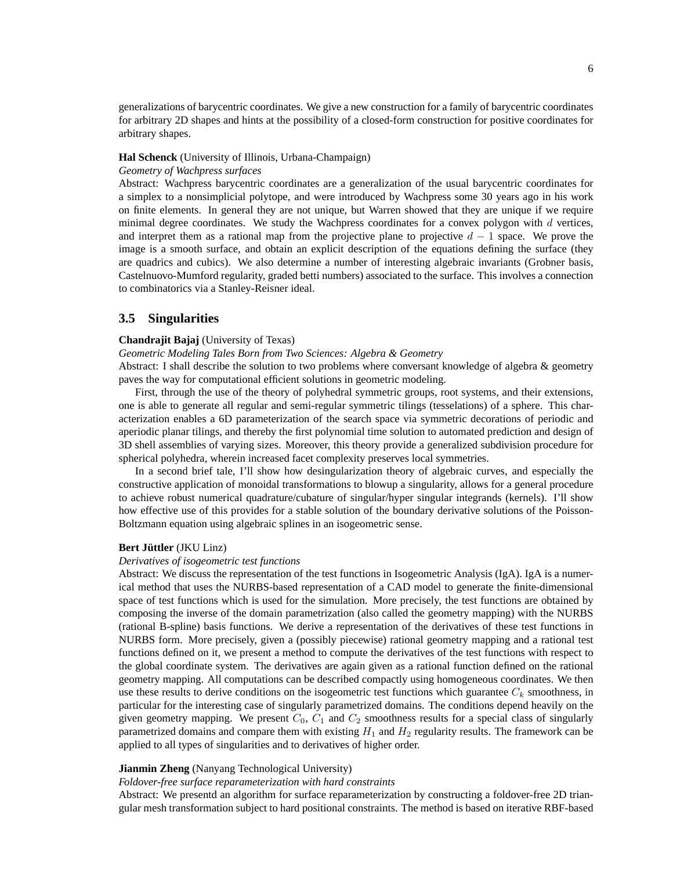generalizations of barycentric coordinates. We give a new construction for a family of barycentric coordinates for arbitrary 2D shapes and hints at the possibility of a closed-form construction for positive coordinates for arbitrary shapes.

#### **Hal Schenck** (University of Illinois, Urbana-Champaign)

#### *Geometry of Wachpress surfaces*

Abstract: Wachpress barycentric coordinates are a generalization of the usual barycentric coordinates for a simplex to a nonsimplicial polytope, and were introduced by Wachpress some 30 years ago in his work on finite elements. In general they are not unique, but Warren showed that they are unique if we require minimal degree coordinates. We study the Wachpress coordinates for a convex polygon with  $d$  vertices, and interpret them as a rational map from the projective plane to projective  $d - 1$  space. We prove the image is a smooth surface, and obtain an explicit description of the equations defining the surface (they are quadrics and cubics). We also determine a number of interesting algebraic invariants (Grobner basis, Castelnuovo-Mumford regularity, graded betti numbers) associated to the surface. This involves a connection to combinatorics via a Stanley-Reisner ideal.

# **3.5 Singularities**

# **Chandrajit Bajaj** (University of Texas)

#### *Geometric Modeling Tales Born from Two Sciences: Algebra & Geometry*

Abstract: I shall describe the solution to two problems where conversant knowledge of algebra & geometry paves the way for computational efficient solutions in geometric modeling.

First, through the use of the theory of polyhedral symmetric groups, root systems, and their extensions, one is able to generate all regular and semi-regular symmetric tilings (tesselations) of a sphere. This characterization enables a 6D parameterization of the search space via symmetric decorations of periodic and aperiodic planar tilings, and thereby the first polynomial time solution to automated prediction and design of 3D shell assemblies of varying sizes. Moreover, this theory provide a generalized subdivision procedure for spherical polyhedra, wherein increased facet complexity preserves local symmetries.

In a second brief tale, I'll show how desingularization theory of algebraic curves, and especially the constructive application of monoidal transformations to blowup a singularity, allows for a general procedure to achieve robust numerical quadrature/cubature of singular/hyper singular integrands (kernels). I'll show how effective use of this provides for a stable solution of the boundary derivative solutions of the Poisson-Boltzmann equation using algebraic splines in an isogeometric sense.

#### **Bert Jüttler** (JKU Linz)

#### *Derivatives of isogeometric test functions*

Abstract: We discuss the representation of the test functions in Isogeometric Analysis (IgA). IgA is a numerical method that uses the NURBS-based representation of a CAD model to generate the finite-dimensional space of test functions which is used for the simulation. More precisely, the test functions are obtained by composing the inverse of the domain parametrization (also called the geometry mapping) with the NURBS (rational B-spline) basis functions. We derive a representation of the derivatives of these test functions in NURBS form. More precisely, given a (possibly piecewise) rational geometry mapping and a rational test functions defined on it, we present a method to compute the derivatives of the test functions with respect to the global coordinate system. The derivatives are again given as a rational function defined on the rational geometry mapping. All computations can be described compactly using homogeneous coordinates. We then use these results to derive conditions on the isogeometric test functions which guarantee  $C_k$  smoothness, in particular for the interesting case of singularly parametrized domains. The conditions depend heavily on the given geometry mapping. We present  $C_0$ ,  $C_1$  and  $C_2$  smoothness results for a special class of singularly parametrized domains and compare them with existing  $H_1$  and  $H_2$  regularity results. The framework can be applied to all types of singularities and to derivatives of higher order.

# **Jianmin Zheng** (Nanyang Technological University)

*Foldover-free surface reparameterization with hard constraints*

Abstract: We presentd an algorithm for surface reparameterization by constructing a foldover-free 2D triangular mesh transformation subject to hard positional constraints. The method is based on iterative RBF-based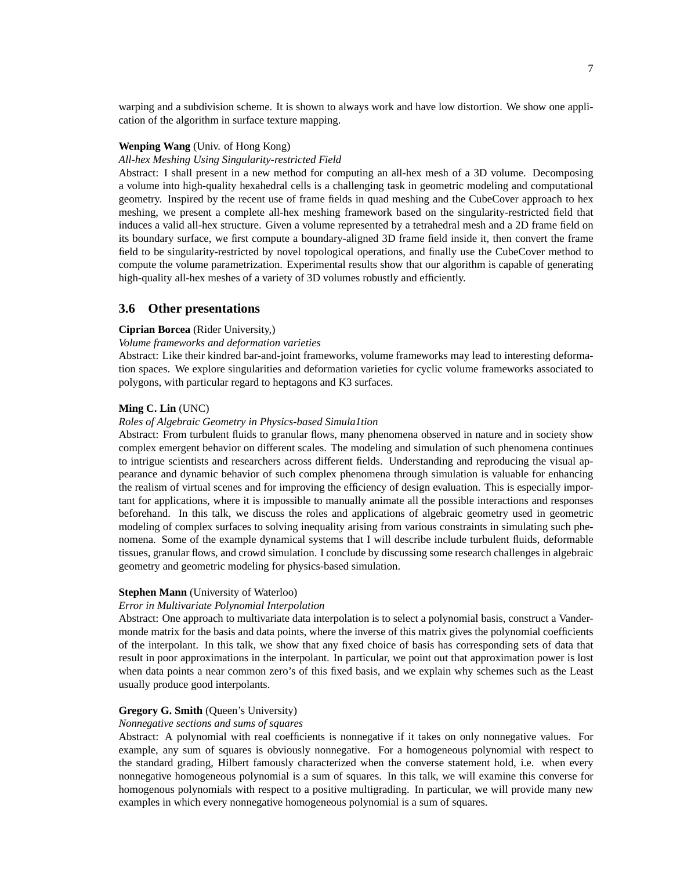warping and a subdivision scheme. It is shown to always work and have low distortion. We show one application of the algorithm in surface texture mapping.

# **Wenping Wang** (Univ. of Hong Kong)

# *All-hex Meshing Using Singularity-restricted Field*

Abstract: I shall present in a new method for computing an all-hex mesh of a 3D volume. Decomposing a volume into high-quality hexahedral cells is a challenging task in geometric modeling and computational geometry. Inspired by the recent use of frame fields in quad meshing and the CubeCover approach to hex meshing, we present a complete all-hex meshing framework based on the singularity-restricted field that induces a valid all-hex structure. Given a volume represented by a tetrahedral mesh and a 2D frame field on its boundary surface, we first compute a boundary-aligned 3D frame field inside it, then convert the frame field to be singularity-restricted by novel topological operations, and finally use the CubeCover method to compute the volume parametrization. Experimental results show that our algorithm is capable of generating high-quality all-hex meshes of a variety of 3D volumes robustly and efficiently.

# **3.6 Other presentations**

# **Ciprian Borcea** (Rider University,)

# *Volume frameworks and deformation varieties*

Abstract: Like their kindred bar-and-joint frameworks, volume frameworks may lead to interesting deformation spaces. We explore singularities and deformation varieties for cyclic volume frameworks associated to polygons, with particular regard to heptagons and K3 surfaces.

#### **Ming C. Lin** (UNC)

### *Roles of Algebraic Geometry in Physics-based Simula1tion*

Abstract: From turbulent fluids to granular flows, many phenomena observed in nature and in society show complex emergent behavior on different scales. The modeling and simulation of such phenomena continues to intrigue scientists and researchers across different fields. Understanding and reproducing the visual appearance and dynamic behavior of such complex phenomena through simulation is valuable for enhancing the realism of virtual scenes and for improving the efficiency of design evaluation. This is especially important for applications, where it is impossible to manually animate all the possible interactions and responses beforehand. In this talk, we discuss the roles and applications of algebraic geometry used in geometric modeling of complex surfaces to solving inequality arising from various constraints in simulating such phenomena. Some of the example dynamical systems that I will describe include turbulent fluids, deformable tissues, granular flows, and crowd simulation. I conclude by discussing some research challenges in algebraic geometry and geometric modeling for physics-based simulation.

# **Stephen Mann** (University of Waterloo)

#### *Error in Multivariate Polynomial Interpolation*

Abstract: One approach to multivariate data interpolation is to select a polynomial basis, construct a Vandermonde matrix for the basis and data points, where the inverse of this matrix gives the polynomial coefficients of the interpolant. In this talk, we show that any fixed choice of basis has corresponding sets of data that result in poor approximations in the interpolant. In particular, we point out that approximation power is lost when data points a near common zero's of this fixed basis, and we explain why schemes such as the Least usually produce good interpolants.

# **Gregory G. Smith** (Queen's University)

# *Nonnegative sections and sums of squares*

Abstract: A polynomial with real coefficients is nonnegative if it takes on only nonnegative values. For example, any sum of squares is obviously nonnegative. For a homogeneous polynomial with respect to the standard grading, Hilbert famously characterized when the converse statement hold, i.e. when every nonnegative homogeneous polynomial is a sum of squares. In this talk, we will examine this converse for homogenous polynomials with respect to a positive multigrading. In particular, we will provide many new examples in which every nonnegative homogeneous polynomial is a sum of squares.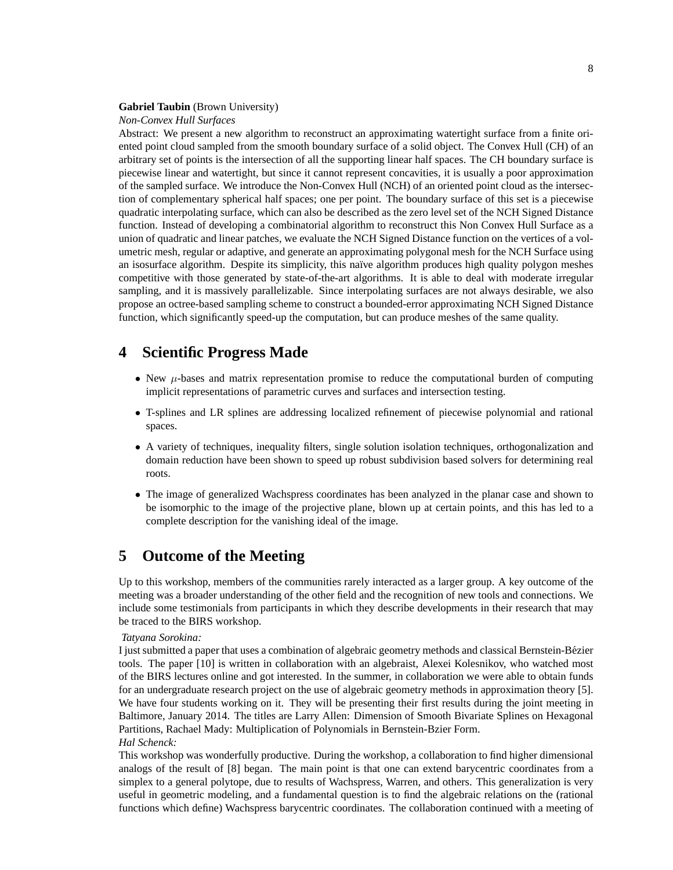# **Gabriel Taubin** (Brown University)

# *Non-Convex Hull Surfaces*

Abstract: We present a new algorithm to reconstruct an approximating watertight surface from a finite oriented point cloud sampled from the smooth boundary surface of a solid object. The Convex Hull (CH) of an arbitrary set of points is the intersection of all the supporting linear half spaces. The CH boundary surface is piecewise linear and watertight, but since it cannot represent concavities, it is usually a poor approximation of the sampled surface. We introduce the Non-Convex Hull (NCH) of an oriented point cloud as the intersection of complementary spherical half spaces; one per point. The boundary surface of this set is a piecewise quadratic interpolating surface, which can also be described as the zero level set of the NCH Signed Distance function. Instead of developing a combinatorial algorithm to reconstruct this Non Convex Hull Surface as a union of quadratic and linear patches, we evaluate the NCH Signed Distance function on the vertices of a volumetric mesh, regular or adaptive, and generate an approximating polygonal mesh for the NCH Surface using an isosurface algorithm. Despite its simplicity, this naïve algorithm produces high quality polygon meshes competitive with those generated by state-of-the-art algorithms. It is able to deal with moderate irregular sampling, and it is massively parallelizable. Since interpolating surfaces are not always desirable, we also propose an octree-based sampling scheme to construct a bounded-error approximating NCH Signed Distance function, which significantly speed-up the computation, but can produce meshes of the same quality.

# **4 Scientific Progress Made**

- New  $\mu$ -bases and matrix representation promise to reduce the computational burden of computing implicit representations of parametric curves and surfaces and intersection testing.
- T-splines and LR splines are addressing localized refinement of piecewise polynomial and rational spaces.
- A variety of techniques, inequality filters, single solution isolation techniques, orthogonalization and domain reduction have been shown to speed up robust subdivision based solvers for determining real roots.
- The image of generalized Wachspress coordinates has been analyzed in the planar case and shown to be isomorphic to the image of the projective plane, blown up at certain points, and this has led to a complete description for the vanishing ideal of the image.

# **5 Outcome of the Meeting**

Up to this workshop, members of the communities rarely interacted as a larger group. A key outcome of the meeting was a broader understanding of the other field and the recognition of new tools and connections. We include some testimonials from participants in which they describe developments in their research that may be traced to the BIRS workshop.

#### *Tatyana Sorokina:*

I just submitted a paper that uses a combination of algebraic geometry methods and classical Bernstein-Bezier ´ tools. The paper [10] is written in collaboration with an algebraist, Alexei Kolesnikov, who watched most of the BIRS lectures online and got interested. In the summer, in collaboration we were able to obtain funds for an undergraduate research project on the use of algebraic geometry methods in approximation theory [5]. We have four students working on it. They will be presenting their first results during the joint meeting in Baltimore, January 2014. The titles are Larry Allen: Dimension of Smooth Bivariate Splines on Hexagonal Partitions, Rachael Mady: Multiplication of Polynomials in Bernstein-Bzier Form. *Hal Schenck:*

This workshop was wonderfully productive. During the workshop, a collaboration to find higher dimensional analogs of the result of [8] began. The main point is that one can extend barycentric coordinates from a simplex to a general polytope, due to results of Wachspress, Warren, and others. This generalization is very useful in geometric modeling, and a fundamental question is to find the algebraic relations on the (rational functions which define) Wachspress barycentric coordinates. The collaboration continued with a meeting of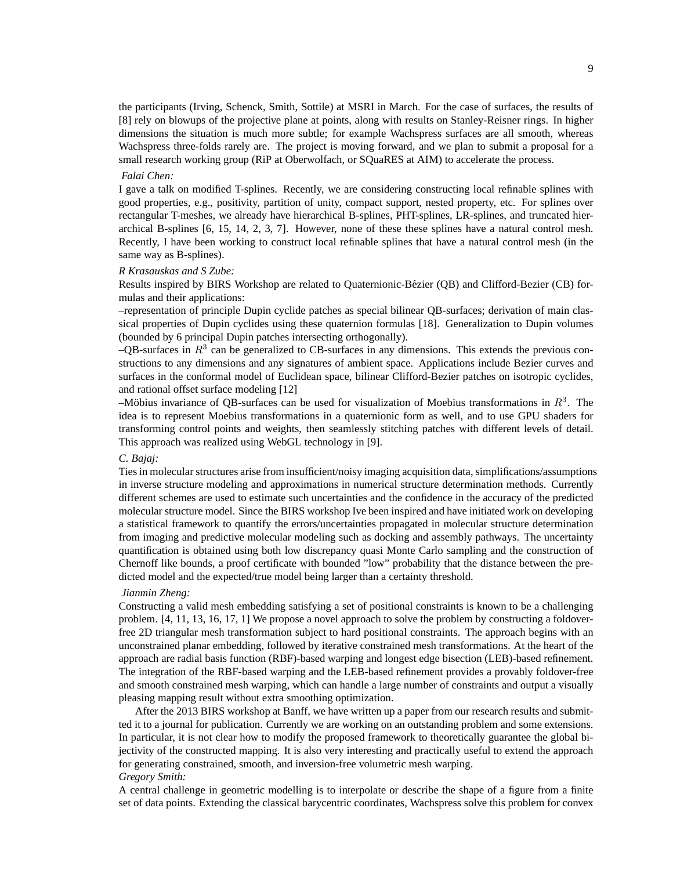the participants (Irving, Schenck, Smith, Sottile) at MSRI in March. For the case of surfaces, the results of [8] rely on blowups of the projective plane at points, along with results on Stanley-Reisner rings. In higher dimensions the situation is much more subtle; for example Wachspress surfaces are all smooth, whereas Wachspress three-folds rarely are. The project is moving forward, and we plan to submit a proposal for a small research working group (RiP at Oberwolfach, or SQuaRES at AIM) to accelerate the process.

#### *Falai Chen:*

I gave a talk on modified T-splines. Recently, we are considering constructing local refinable splines with good properties, e.g., positivity, partition of unity, compact support, nested property, etc. For splines over rectangular T-meshes, we already have hierarchical B-splines, PHT-splines, LR-splines, and truncated hierarchical B-splines [6, 15, 14, 2, 3, 7]. However, none of these these splines have a natural control mesh. Recently, I have been working to construct local refinable splines that have a natural control mesh (in the same way as B-splines).

#### *R Krasauskas and S Zube:*

Results inspired by BIRS Workshop are related to Quaternionic-Bezier (QB) and Clifford-Bezier (CB) for- ´ mulas and their applications:

–representation of principle Dupin cyclide patches as special bilinear QB-surfaces; derivation of main classical properties of Dupin cyclides using these quaternion formulas [18]. Generalization to Dupin volumes (bounded by 6 principal Dupin patches intersecting orthogonally).

 $-QB$ -surfaces in  $R<sup>3</sup>$  can be generalized to CB-surfaces in any dimensions. This extends the previous constructions to any dimensions and any signatures of ambient space. Applications include Bezier curves and surfaces in the conformal model of Euclidean space, bilinear Clifford-Bezier patches on isotropic cyclides, and rational offset surface modeling [12]

–Möbius invariance of QB-surfaces can be used for visualization of Moebius transformations in  $R<sup>3</sup>$ . The idea is to represent Moebius transformations in a quaternionic form as well, and to use GPU shaders for transforming control points and weights, then seamlessly stitching patches with different levels of detail. This approach was realized using WebGL technology in [9].

# *C. Bajaj:*

Ties in molecular structures arise from insufficient/noisy imaging acquisition data, simplifications/assumptions in inverse structure modeling and approximations in numerical structure determination methods. Currently different schemes are used to estimate such uncertainties and the confidence in the accuracy of the predicted molecular structure model. Since the BIRS workshop Ive been inspired and have initiated work on developing a statistical framework to quantify the errors/uncertainties propagated in molecular structure determination from imaging and predictive molecular modeling such as docking and assembly pathways. The uncertainty quantification is obtained using both low discrepancy quasi Monte Carlo sampling and the construction of Chernoff like bounds, a proof certificate with bounded "low" probability that the distance between the predicted model and the expected/true model being larger than a certainty threshold.

#### *Jianmin Zheng:*

Constructing a valid mesh embedding satisfying a set of positional constraints is known to be a challenging problem. [4, 11, 13, 16, 17, 1] We propose a novel approach to solve the problem by constructing a foldoverfree 2D triangular mesh transformation subject to hard positional constraints. The approach begins with an unconstrained planar embedding, followed by iterative constrained mesh transformations. At the heart of the approach are radial basis function (RBF)-based warping and longest edge bisection (LEB)-based refinement. The integration of the RBF-based warping and the LEB-based refinement provides a provably foldover-free and smooth constrained mesh warping, which can handle a large number of constraints and output a visually pleasing mapping result without extra smoothing optimization.

After the 2013 BIRS workshop at Banff, we have written up a paper from our research results and submitted it to a journal for publication. Currently we are working on an outstanding problem and some extensions. In particular, it is not clear how to modify the proposed framework to theoretically guarantee the global bijectivity of the constructed mapping. It is also very interesting and practically useful to extend the approach for generating constrained, smooth, and inversion-free volumetric mesh warping. *Gregory Smith:*

A central challenge in geometric modelling is to interpolate or describe the shape of a figure from a finite set of data points. Extending the classical barycentric coordinates, Wachspress solve this problem for convex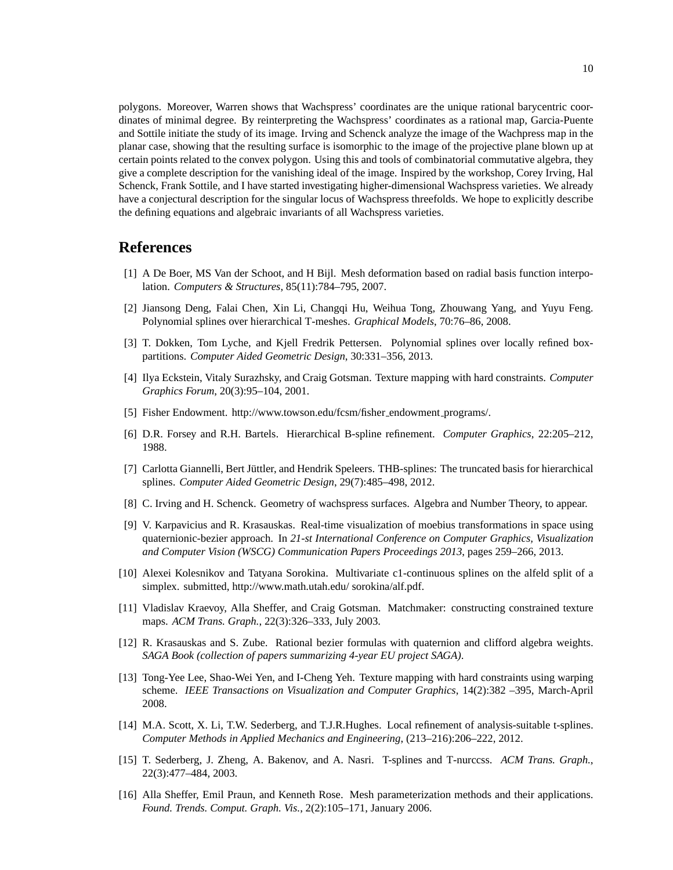polygons. Moreover, Warren shows that Wachspress' coordinates are the unique rational barycentric coordinates of minimal degree. By reinterpreting the Wachspress' coordinates as a rational map, Garcia-Puente and Sottile initiate the study of its image. Irving and Schenck analyze the image of the Wachpress map in the planar case, showing that the resulting surface is isomorphic to the image of the projective plane blown up at certain points related to the convex polygon. Using this and tools of combinatorial commutative algebra, they give a complete description for the vanishing ideal of the image. Inspired by the workshop, Corey Irving, Hal Schenck, Frank Sottile, and I have started investigating higher-dimensional Wachspress varieties. We already have a conjectural description for the singular locus of Wachspress threefolds. We hope to explicitly describe the defining equations and algebraic invariants of all Wachspress varieties.

# **References**

- [1] A De Boer, MS Van der Schoot, and H Bijl. Mesh deformation based on radial basis function interpolation. *Computers & Structures*, 85(11):784–795, 2007.
- [2] Jiansong Deng, Falai Chen, Xin Li, Changqi Hu, Weihua Tong, Zhouwang Yang, and Yuyu Feng. Polynomial splines over hierarchical T-meshes. *Graphical Models*, 70:76–86, 2008.
- [3] T. Dokken, Tom Lyche, and Kjell Fredrik Pettersen. Polynomial splines over locally refined boxpartitions. *Computer Aided Geometric Design*, 30:331–356, 2013.
- [4] Ilya Eckstein, Vitaly Surazhsky, and Craig Gotsman. Texture mapping with hard constraints. *Computer Graphics Forum*, 20(3):95–104, 2001.
- [5] Fisher Endowment. http://www.towson.edu/fcsm/fisher endowment programs/.
- [6] D.R. Forsey and R.H. Bartels. Hierarchical B-spline refinement. *Computer Graphics*, 22:205–212, 1988.
- [7] Carlotta Giannelli, Bert Jüttler, and Hendrik Speleers. THB-splines: The truncated basis for hierarchical splines. *Computer Aided Geometric Design*, 29(7):485–498, 2012.
- [8] C. Irving and H. Schenck. Geometry of wachspress surfaces. Algebra and Number Theory, to appear.
- [9] V. Karpavicius and R. Krasauskas. Real-time visualization of moebius transformations in space using quaternionic-bezier approach. In *21-st International Conference on Computer Graphics, Visualization and Computer Vision (WSCG) Communication Papers Proceedings 2013*, pages 259–266, 2013.
- [10] Alexei Kolesnikov and Tatyana Sorokina. Multivariate c1-continuous splines on the alfeld split of a simplex. submitted, http://www.math.utah.edu/ sorokina/alf.pdf.
- [11] Vladislav Kraevoy, Alla Sheffer, and Craig Gotsman. Matchmaker: constructing constrained texture maps. *ACM Trans. Graph.*, 22(3):326–333, July 2003.
- [12] R. Krasauskas and S. Zube. Rational bezier formulas with quaternion and clifford algebra weights. *SAGA Book (collection of papers summarizing 4-year EU project SAGA)*.
- [13] Tong-Yee Lee, Shao-Wei Yen, and I-Cheng Yeh. Texture mapping with hard constraints using warping scheme. *IEEE Transactions on Visualization and Computer Graphics*, 14(2):382 –395, March-April 2008.
- [14] M.A. Scott, X. Li, T.W. Sederberg, and T.J.R.Hughes. Local refinement of analysis-suitable t-splines. *Computer Methods in Applied Mechanics and Engineering*, (213–216):206–222, 2012.
- [15] T. Sederberg, J. Zheng, A. Bakenov, and A. Nasri. T-splines and T-nurccss. *ACM Trans. Graph.*, 22(3):477–484, 2003.
- [16] Alla Sheffer, Emil Praun, and Kenneth Rose. Mesh parameterization methods and their applications. *Found. Trends. Comput. Graph. Vis.*, 2(2):105–171, January 2006.